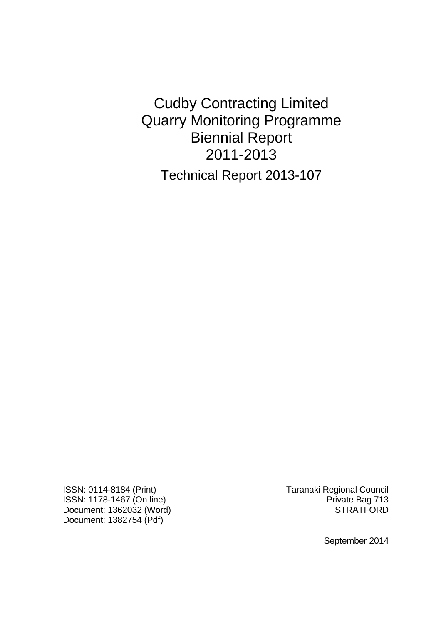Cudby Contracting Limited Quarry Monitoring Programme Biennial Report 2011-2013 Technical Report 2013-107

ISSN: 0114-8184 (Print) Taranaki Regional Council ISSN: 1178-1467 (On line)<br>Document: 1362032 (Word) Private Bag 713 Document: 1362032 (Word) Document: 1382754 (Pdf)

September 2014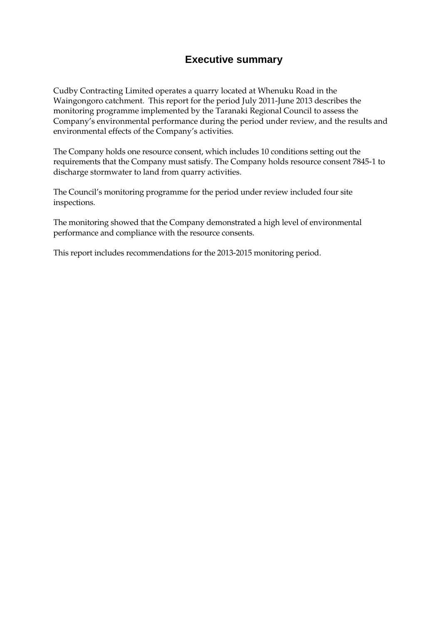## **Executive summary**

Cudby Contracting Limited operates a quarry located at Whenuku Road in the Waingongoro catchment. This report for the period July 2011-June 2013 describes the monitoring programme implemented by the Taranaki Regional Council to assess the Company's environmental performance during the period under review, and the results and environmental effects of the Company's activities.

The Company holds one resource consent, which includes 10 conditions setting out the requirements that the Company must satisfy. The Company holds resource consent 7845-1 to discharge stormwater to land from quarry activities.

The Council's monitoring programme for the period under review included four site inspections.

The monitoring showed that the Company demonstrated a high level of environmental performance and compliance with the resource consents.

This report includes recommendations for the 2013-2015 monitoring period.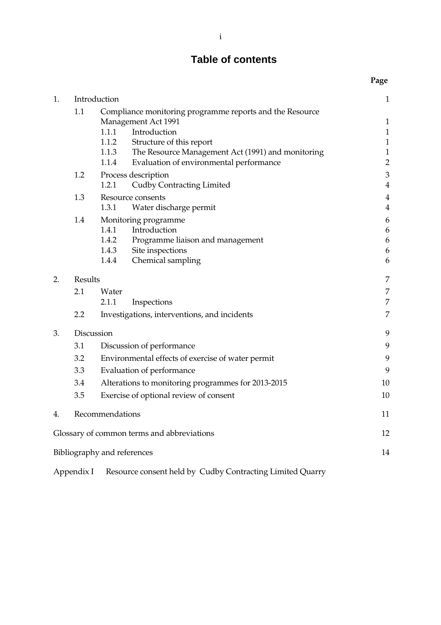# **Table of contents**

|    |                 |                                                                                        | Page           |
|----|-----------------|----------------------------------------------------------------------------------------|----------------|
| 1. | Introduction    |                                                                                        | $\mathbf{1}$   |
|    | 1.1             | Compliance monitoring programme reports and the Resource<br><b>Management Act 1991</b> |                |
|    |                 | 1.1.1<br>Introduction                                                                  | $\mathbf{1}$   |
|    |                 | 1.1.2<br>Structure of this report                                                      | $\mathbf{1}$   |
|    |                 | 1.1.3<br>The Resource Management Act (1991) and monitoring                             | $\mathbf{1}$   |
|    |                 | 1.1.4<br>Evaluation of environmental performance                                       | $\overline{2}$ |
|    | 1.2             | Process description                                                                    | 3              |
|    |                 | 1.2.1<br><b>Cudby Contracting Limited</b>                                              | $\overline{4}$ |
|    | 1.3             | Resource consents                                                                      | $\overline{4}$ |
|    |                 | 1.3.1<br>Water discharge permit                                                        | $\overline{4}$ |
|    | 1.4             | Monitoring programme                                                                   | 6              |
|    |                 | 1.4.1<br>Introduction                                                                  | 6              |
|    |                 | 1.4.2<br>Programme liaison and management                                              | 6              |
|    |                 | 1.4.3<br>Site inspections                                                              | 6              |
|    |                 | 1.4.4<br>Chemical sampling                                                             | 6              |
| 2. | Results         |                                                                                        | 7              |
|    | 2.1             | Water                                                                                  | 7              |
|    |                 | 2.1.1<br>Inspections                                                                   | 7              |
|    | 2.2             | Investigations, interventions, and incidents                                           | 7              |
| 3. |                 | Discussion                                                                             | 9              |
|    | 3.1             | Discussion of performance                                                              |                |
|    | 3.2             | Environmental effects of exercise of water permit                                      |                |
|    | 3.3             | Evaluation of performance                                                              |                |
|    | 3.4             | Alterations to monitoring programmes for 2013-2015                                     |                |
|    | 3.5             | Exercise of optional review of consent                                                 |                |
|    |                 |                                                                                        | 10             |
| 4. | Recommendations |                                                                                        |                |
|    |                 | Glossary of common terms and abbreviations                                             | 12             |
|    |                 | Bibliography and references                                                            | 14             |
|    |                 |                                                                                        |                |

Appendix I Resource consent held by Cudby Contracting Limited Quarry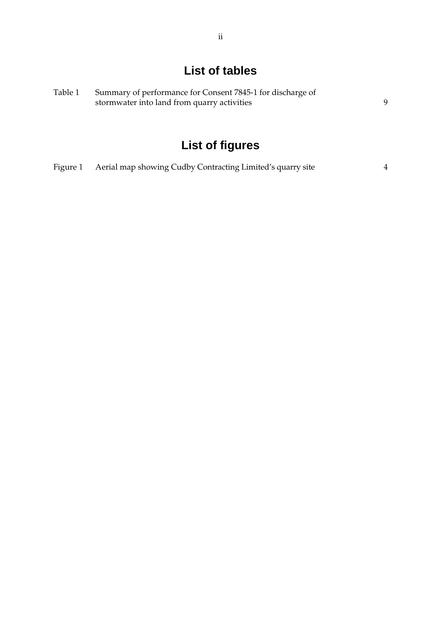# **List of tables**

| Table 1 | Summary of performance for Consent 7845-1 for discharge of |  |
|---------|------------------------------------------------------------|--|
|         | stormwater into land from quarry activities                |  |

# **List of figures**

| Figure 1 Aerial map showing Cudby Contracting Limited's quarry site |  |  |
|---------------------------------------------------------------------|--|--|
|                                                                     |  |  |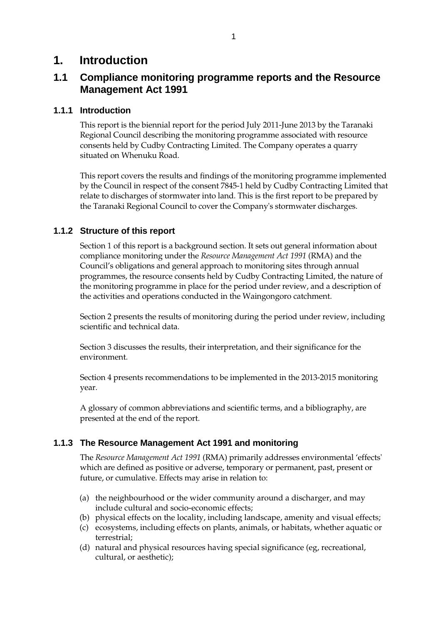## **1. Introduction**

## **1.1 Compliance monitoring programme reports and the Resource Management Act 1991**

#### **1.1.1 Introduction**

This report is the biennial report for the period July 2011-June 2013 by the Taranaki Regional Council describing the monitoring programme associated with resource consents held by Cudby Contracting Limited. The Company operates a quarry situated on Whenuku Road.

This report covers the results and findings of the monitoring programme implemented by the Council in respect of the consent 7845-1 held by Cudby Contracting Limited that relate to discharges of stormwater into land. This is the first report to be prepared by the Taranaki Regional Council to cover the Company's stormwater discharges.

#### **1.1.2 Structure of this report**

Section 1 of this report is a background section. It sets out general information about compliance monitoring under the *Resource Management Act 1991* (RMA) and the Council's obligations and general approach to monitoring sites through annual programmes, the resource consents held by Cudby Contracting Limited, the nature of the monitoring programme in place for the period under review, and a description of the activities and operations conducted in the Waingongoro catchment.

Section 2 presents the results of monitoring during the period under review, including scientific and technical data.

Section 3 discusses the results, their interpretation, and their significance for the environment.

Section 4 presents recommendations to be implemented in the 2013-2015 monitoring year.

A glossary of common abbreviations and scientific terms, and a bibliography, are presented at the end of the report.

#### **1.1.3 The Resource Management Act 1991 and monitoring**

The *Resource Management Act 1991* (RMA) primarily addresses environmental 'effects' which are defined as positive or adverse, temporary or permanent, past, present or future, or cumulative. Effects may arise in relation to:

- (a) the neighbourhood or the wider community around a discharger, and may include cultural and socio-economic effects;
- (b) physical effects on the locality, including landscape, amenity and visual effects;
- (c) ecosystems, including effects on plants, animals, or habitats, whether aquatic or terrestrial;
- (d) natural and physical resources having special significance (eg, recreational, cultural, or aesthetic);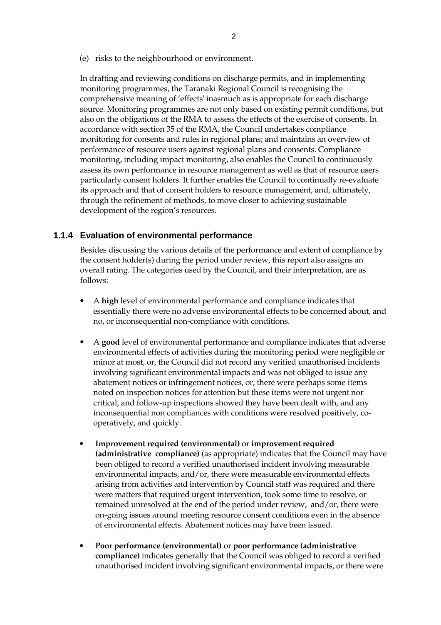(e) risks to the neighbourhood or environment.

In drafting and reviewing conditions on discharge permits, and in implementing monitoring programmes, the Taranaki Regional Council is recognising the comprehensive meaning of 'effects' inasmuch as is appropriate for each discharge source. Monitoring programmes are not only based on existing permit conditions, but also on the obligations of the RMA to assess the effects of the exercise of consents. In accordance with section 35 of the RMA, the Council undertakes compliance monitoring for consents and rules in regional plans; and maintains an overview of performance of resource users against regional plans and consents. Compliance monitoring, including impact monitoring, also enables the Council to continuously assess its own performance in resource management as well as that of resource users particularly consent holders. It further enables the Council to continually re-evaluate its approach and that of consent holders to resource management, and, ultimately, through the refinement of methods, to move closer to achieving sustainable development of the region's resources.

#### **1.1.4 Evaluation of environmental performance**

Besides discussing the various details of the performance and extent of compliance by the consent holder(s) during the period under review, this report also assigns an overall rating. The categories used by the Council, and their interpretation, are as follows:

- A **high** level of environmental performance and compliance indicates that essentially there were no adverse environmental effects to be concerned about, and no, or inconsequential non-compliance with conditions.
- A **good** level of environmental performance and compliance indicates that adverse environmental effects of activities during the monitoring period were negligible or minor at most, or, the Council did not record any verified unauthorised incidents involving significant environmental impacts and was not obliged to issue any abatement notices or infringement notices, or, there were perhaps some items noted on inspection notices for attention but these items were not urgent nor critical, and follow-up inspections showed they have been dealt with, and any inconsequential non compliances with conditions were resolved positively, cooperatively, and quickly.
- **Improvement required (environmental)** or **improvement required (administrative compliance)** (as appropriate) indicates that the Council may have been obliged to record a verified unauthorised incident involving measurable environmental impacts, and/or, there were measurable environmental effects arising from activities and intervention by Council staff was required and there were matters that required urgent intervention, took some time to resolve, or remained unresolved at the end of the period under review, and/or, there were on-going issues around meeting resource consent conditions even in the absence of environmental effects. Abatement notices may have been issued.
- **Poor performance (environmental)** or **poor performance (administrative compliance)** indicates generally that the Council was obliged to record a verified unauthorised incident involving significant environmental impacts, or there were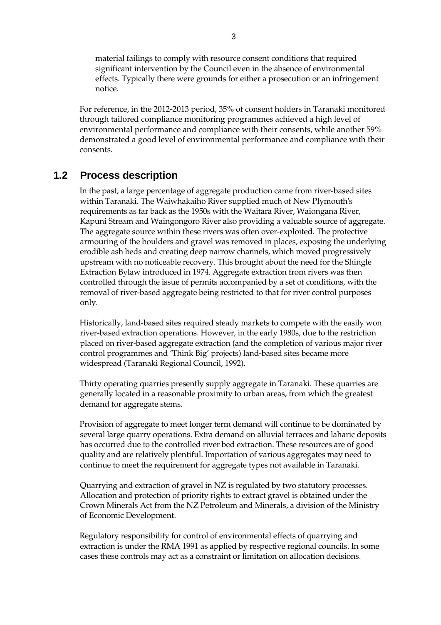material failings to comply with resource consent conditions that required significant intervention by the Council even in the absence of environmental effects. Typically there were grounds for either a prosecution or an infringement notice.

For reference, in the 2012-2013 period, 35% of consent holders in Taranaki monitored through tailored compliance monitoring programmes achieved a high level of environmental performance and compliance with their consents, while another 59% demonstrated a good level of environmental performance and compliance with their consents.

### **1.2 Process description**

In the past, a large percentage of aggregate production came from river-based sites within Taranaki. The Waiwhakaiho River supplied much of New Plymouth's requirements as far back as the 1950s with the Waitara River, Waiongana River, Kapuni Stream and Waingongoro River also providing a valuable source of aggregate. The aggregate source within these rivers was often over-exploited. The protective armouring of the boulders and gravel was removed in places, exposing the underlying erodible ash beds and creating deep narrow channels, which moved progressively upstream with no noticeable recovery. This brought about the need for the Shingle Extraction Bylaw introduced in 1974. Aggregate extraction from rivers was then controlled through the issue of permits accompanied by a set of conditions, with the removal of river-based aggregate being restricted to that for river control purposes only.

 Historically, land-based sites required steady markets to compete with the easily won river-based extraction operations. However, in the early 1980s, due to the restriction placed on river-based aggregate extraction (and the completion of various major river control programmes and 'Think Big' projects) land-based sites became more widespread (Taranaki Regional Council, 1992).

 Thirty operating quarries presently supply aggregate in Taranaki. These quarries are generally located in a reasonable proximity to urban areas, from which the greatest demand for aggregate stems.

Provision of aggregate to meet longer term demand will continue to be dominated by several large quarry operations. Extra demand on alluvial terraces and laharic deposits has occurred due to the controlled river bed extraction. These resources are of good quality and are relatively plentiful. Importation of various aggregates may need to continue to meet the requirement for aggregate types not available in Taranaki.

 Quarrying and extraction of gravel in NZ is regulated by two statutory processes. Allocation and protection of priority rights to extract gravel is obtained under the Crown Minerals Act from the NZ Petroleum and Minerals, a division of the Ministry of Economic Development.

Regulatory responsibility for control of environmental effects of quarrying and extraction is under the RMA 1991 as applied by respective regional councils. In some cases these controls may act as a constraint or limitation on allocation decisions.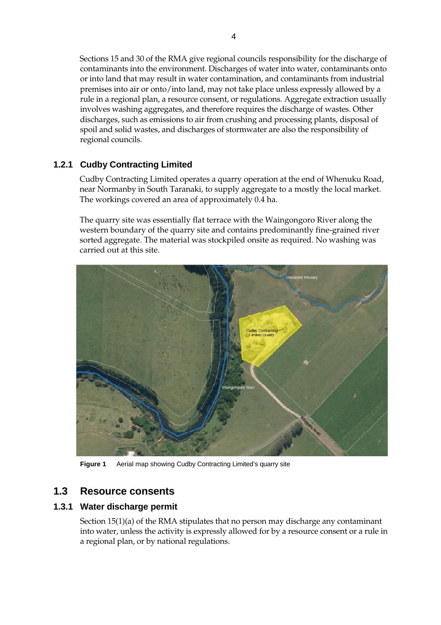Sections 15 and 30 of the RMA give regional councils responsibility for the discharge of contaminants into the environment. Discharges of water into water, contaminants onto or into land that may result in water contamination, and contaminants from industrial premises into air or onto/into land, may not take place unless expressly allowed by a rule in a regional plan, a resource consent, or regulations. Aggregate extraction usually involves washing aggregates, and therefore requires the discharge of wastes. Other discharges, such as emissions to air from crushing and processing plants, disposal of spoil and solid wastes, and discharges of stormwater are also the responsibility of regional councils.

### **1.2.1 Cudby Contracting Limited**

Cudby Contracting Limited operates a quarry operation at the end of Whenuku Road, near Normanby in South Taranaki, to supply aggregate to a mostly the local market. The workings covered an area of approximately 0.4 ha.

The quarry site was essentially flat terrace with the Waingongoro River along the western boundary of the quarry site and contains predominantly fine-grained river sorted aggregate. The material was stockpiled onsite as required. No washing was carried out at this site.



**Figure 1** Aerial map showing Cudby Contracting Limited's quarry site

## **1.3 Resource consents**

#### **1.3.1 Water discharge permit**

Section 15(1)(a) of the RMA stipulates that no person may discharge any contaminant into water, unless the activity is expressly allowed for by a resource consent or a rule in a regional plan, or by national regulations.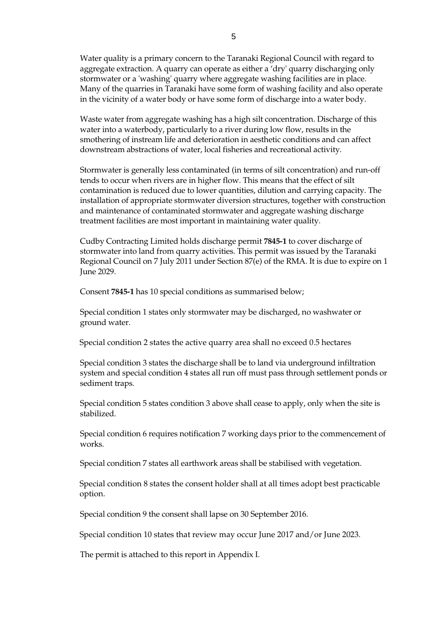Water quality is a primary concern to the Taranaki Regional Council with regard to aggregate extraction. A quarry can operate as either a 'dry' quarry discharging only stormwater or a 'washing' quarry where aggregate washing facilities are in place. Many of the quarries in Taranaki have some form of washing facility and also operate in the vicinity of a water body or have some form of discharge into a water body.

 Waste water from aggregate washing has a high silt concentration. Discharge of this water into a waterbody, particularly to a river during low flow, results in the smothering of instream life and deterioration in aesthetic conditions and can affect downstream abstractions of water, local fisheries and recreational activity.

Stormwater is generally less contaminated (in terms of silt concentration) and run-off tends to occur when rivers are in higher flow. This means that the effect of silt contamination is reduced due to lower quantities, dilution and carrying capacity. The installation of appropriate stormwater diversion structures, together with construction and maintenance of contaminated stormwater and aggregate washing discharge treatment facilities are most important in maintaining water quality.

Cudby Contracting Limited holds discharge permit **7845-1** to cover discharge of stormwater into land from quarry activities. This permit was issued by the Taranaki Regional Council on 7 July 2011 under Section 87(e) of the RMA. It is due to expire on 1 June 2029.

Consent **7845-1** has 10 special conditions as summarised below;

Special condition 1 states only stormwater may be discharged, no washwater or ground water.

Special condition 2 states the active quarry area shall no exceed 0.5 hectares

Special condition 3 states the discharge shall be to land via underground infiltration system and special condition 4 states all run off must pass through settlement ponds or sediment traps.

Special condition 5 states condition 3 above shall cease to apply, only when the site is stabilized.

Special condition 6 requires notification 7 working days prior to the commencement of works.

Special condition 7 states all earthwork areas shall be stabilised with vegetation.

Special condition 8 states the consent holder shall at all times adopt best practicable option.

Special condition 9 the consent shall lapse on 30 September 2016.

Special condition 10 states that review may occur June 2017 and/or June 2023.

The permit is attached to this report in Appendix I.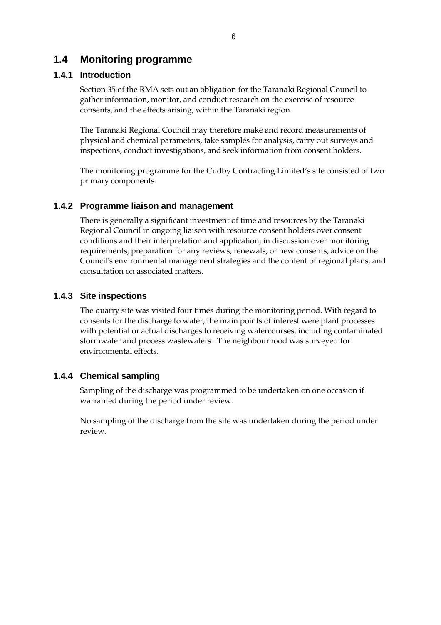### **1.4 Monitoring programme**

#### **1.4.1 Introduction**

Section 35 of the RMA sets out an obligation for the Taranaki Regional Council to gather information, monitor, and conduct research on the exercise of resource consents, and the effects arising, within the Taranaki region.

The Taranaki Regional Council may therefore make and record measurements of physical and chemical parameters, take samples for analysis, carry out surveys and inspections, conduct investigations, and seek information from consent holders.

The monitoring programme for the Cudby Contracting Limited's site consisted of two primary components.

#### **1.4.2 Programme liaison and management**

There is generally a significant investment of time and resources by the Taranaki Regional Council in ongoing liaison with resource consent holders over consent conditions and their interpretation and application, in discussion over monitoring requirements, preparation for any reviews, renewals, or new consents, advice on the Council's environmental management strategies and the content of regional plans, and consultation on associated matters.

#### **1.4.3 Site inspections**

The quarry site was visited four times during the monitoring period. With regard to consents for the discharge to water, the main points of interest were plant processes with potential or actual discharges to receiving watercourses, including contaminated stormwater and process wastewaters.. The neighbourhood was surveyed for environmental effects.

#### **1.4.4 Chemical sampling**

Sampling of the discharge was programmed to be undertaken on one occasion if warranted during the period under review.

No sampling of the discharge from the site was undertaken during the period under review.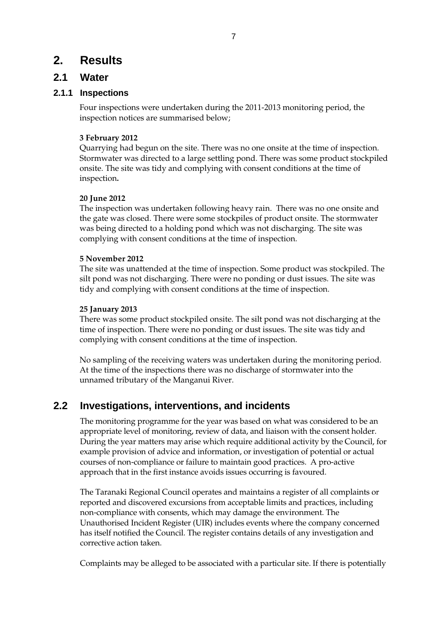## **2. Results**

### **2.1 Water**

#### **2.1.1 Inspections**

Four inspections were undertaken during the 2011-2013 monitoring period, the inspection notices are summarised below;

#### **3 February 2012**

Quarrying had begun on the site. There was no one onsite at the time of inspection. Stormwater was directed to a large settling pond. There was some product stockpiled onsite. The site was tidy and complying with consent conditions at the time of inspection**.** 

#### **20 June 2012**

The inspection was undertaken following heavy rain. There was no one onsite and the gate was closed. There were some stockpiles of product onsite. The stormwater was being directed to a holding pond which was not discharging. The site was complying with consent conditions at the time of inspection.

#### **5 November 2012**

The site was unattended at the time of inspection. Some product was stockpiled. The silt pond was not discharging. There were no ponding or dust issues. The site was tidy and complying with consent conditions at the time of inspection.

#### **25 January 2013**

There was some product stockpiled onsite. The silt pond was not discharging at the time of inspection. There were no ponding or dust issues. The site was tidy and complying with consent conditions at the time of inspection.

No sampling of the receiving waters was undertaken during the monitoring period. At the time of the inspections there was no discharge of stormwater into the unnamed tributary of the Manganui River.

## **2.2 Investigations, interventions, and incidents**

The monitoring programme for the year was based on what was considered to be an appropriate level of monitoring, review of data, and liaison with the consent holder. During the year matters may arise which require additional activity by the Council, for example provision of advice and information, or investigation of potential or actual courses of non-compliance or failure to maintain good practices. A pro-active approach that in the first instance avoids issues occurring is favoured.

The Taranaki Regional Council operates and maintains a register of all complaints or reported and discovered excursions from acceptable limits and practices, including non-compliance with consents, which may damage the environment. The Unauthorised Incident Register (UIR) includes events where the company concerned has itself notified the Council. The register contains details of any investigation and corrective action taken.

Complaints may be alleged to be associated with a particular site. If there is potentially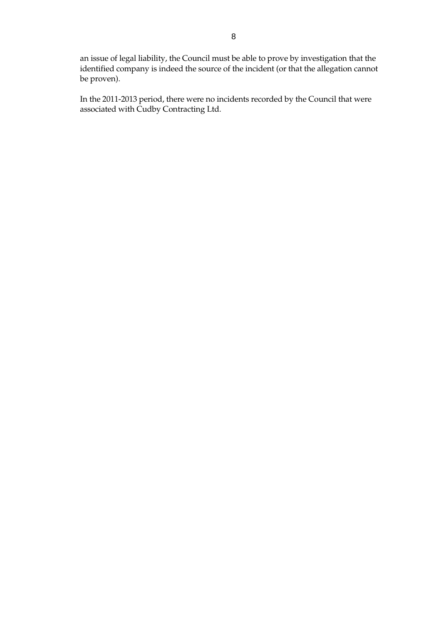an issue of legal liability, the Council must be able to prove by investigation that the identified company is indeed the source of the incident (or that the allegation cannot be proven).

In the 2011-2013 period, there were no incidents recorded by the Council that were associated with Cudby Contracting Ltd.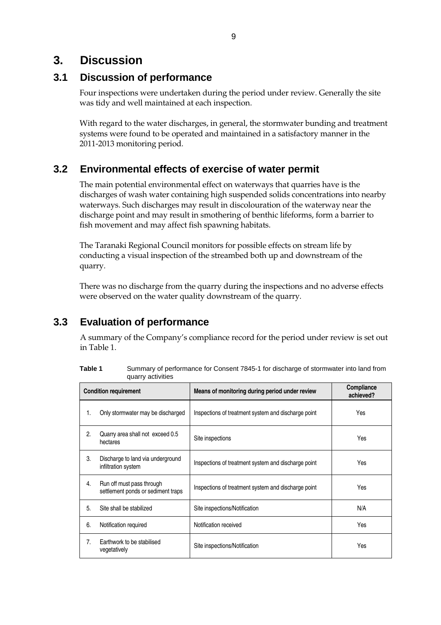# **3. Discussion**

## **3.1 Discussion of performance**

Four inspections were undertaken during the period under review. Generally the site was tidy and well maintained at each inspection.

With regard to the water discharges, in general, the stormwater bunding and treatment systems were found to be operated and maintained in a satisfactory manner in the 2011-2013 monitoring period.

## **3.2 Environmental effects of exercise of water permit**

The main potential environmental effect on waterways that quarries have is the discharges of wash water containing high suspended solids concentrations into nearby waterways. Such discharges may result in discolouration of the waterway near the discharge point and may result in smothering of benthic lifeforms, form a barrier to fish movement and may affect fish spawning habitats.

The Taranaki Regional Council monitors for possible effects on stream life by conducting a visual inspection of the streambed both up and downstream of the quarry.

There was no discharge from the quarry during the inspections and no adverse effects were observed on the water quality downstream of the quarry.

# **3.3 Evaluation of performance**

A summary of the Company's compliance record for the period under review is set out in Table 1.

| Table 1 | Summary of performance for Consent 7845-1 for discharge of stormwater into land from |
|---------|--------------------------------------------------------------------------------------|
|         | quarry activities                                                                    |

| <b>Condition requirement</b> |                                                                 | Means of monitoring during period under review      | Compliance<br>achieved? |
|------------------------------|-----------------------------------------------------------------|-----------------------------------------------------|-------------------------|
| 1.                           | Only stormwater may be discharged                               | Inspections of treatment system and discharge point | Yes                     |
| 2.                           | Quarry area shall not exceed 0.5<br>hectares                    | Site inspections                                    | Yes                     |
| 3.                           | Discharge to land via underground<br>infiltration system        | Inspections of treatment system and discharge point | Yes                     |
| 4.                           | Run off must pass through<br>settlement ponds or sediment traps | Inspections of treatment system and discharge point | Yes                     |
| 5.                           | Site shall be stabilized                                        | Site inspections/Notification                       | N/A                     |
| 6.                           | Notification required                                           | Notification received                               | Yes                     |
| 7.                           | Earthwork to be stabilised<br>vegetatively                      | Site inspections/Notification                       | Yes                     |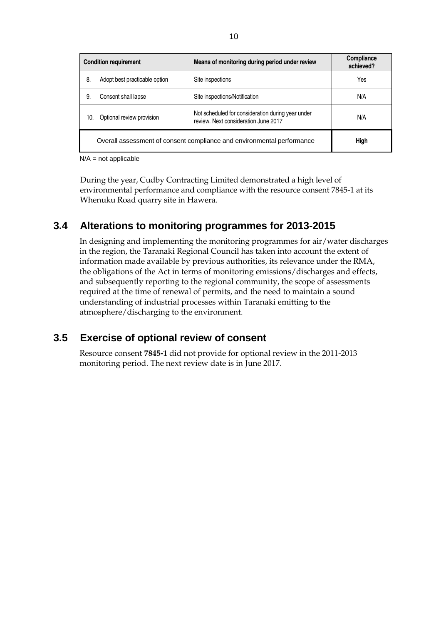| <b>Condition requirement</b>                                           |                               | Means of monitoring during period under review                                            | Compliance<br>achieved? |
|------------------------------------------------------------------------|-------------------------------|-------------------------------------------------------------------------------------------|-------------------------|
| 8.                                                                     | Adopt best practicable option | Site inspections                                                                          | Yes                     |
| 9.                                                                     | Consent shall lapse           | Site inspections/Notification                                                             | N/A                     |
| 10.                                                                    | Optional review provision     | Not scheduled for consideration during year under<br>review. Next consideration June 2017 | N/A                     |
| Overall assessment of consent compliance and environmental performance |                               |                                                                                           | High                    |

 $N/A$  = not applicable

During the year, Cudby Contracting Limited demonstrated a high level of environmental performance and compliance with the resource consent 7845-1 at its Whenuku Road quarry site in Hawera.

## **3.4 Alterations to monitoring programmes for 2013-2015**

In designing and implementing the monitoring programmes for air/water discharges in the region, the Taranaki Regional Council has taken into account the extent of information made available by previous authorities, its relevance under the RMA, the obligations of the Act in terms of monitoring emissions/discharges and effects, and subsequently reporting to the regional community, the scope of assessments required at the time of renewal of permits, and the need to maintain a sound understanding of industrial processes within Taranaki emitting to the atmosphere/discharging to the environment.

## **3.5 Exercise of optional review of consent**

Resource consent **7845-1** did not provide for optional review in the 2011-2013 monitoring period. The next review date is in June 2017.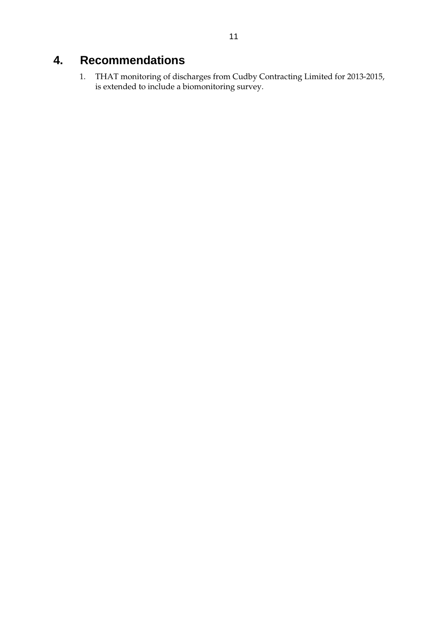# **4. Recommendations**

1. THAT monitoring of discharges from Cudby Contracting Limited for 2013-2015, is extended to include a biomonitoring survey.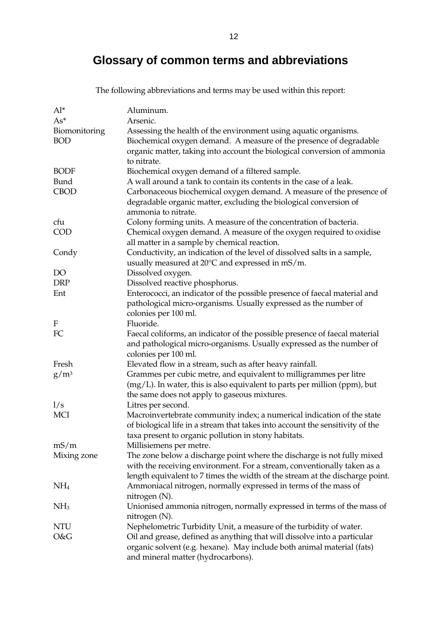# **Glossary of common terms and abbreviations**

The following abbreviations and terms may be used within this report:

| $Al^*$          | Aluminum.                                                                     |
|-----------------|-------------------------------------------------------------------------------|
| $As*$           | Arsenic.                                                                      |
| Biomonitoring   | Assessing the health of the environment using aquatic organisms.              |
| <b>BOD</b>      | Biochemical oxygen demand. A measure of the presence of degradable            |
|                 | organic matter, taking into account the biological conversion of ammonia      |
|                 | to nitrate.                                                                   |
| <b>BODF</b>     | Biochemical oxygen demand of a filtered sample.                               |
| Bund            | A wall around a tank to contain its contents in the case of a leak.           |
| <b>CBOD</b>     | Carbonaceous biochemical oxygen demand. A measure of the presence of          |
|                 | degradable organic matter, excluding the biological conversion of             |
|                 | ammonia to nitrate.                                                           |
| cfu             | Colony forming units. A measure of the concentration of bacteria.             |
| <b>COD</b>      | Chemical oxygen demand. A measure of the oxygen required to oxidise           |
|                 | all matter in a sample by chemical reaction.                                  |
| Condy           | Conductivity, an indication of the level of dissolved salts in a sample,      |
|                 | usually measured at 20°C and expressed in mS/m.                               |
| DO              | Dissolved oxygen.                                                             |
| <b>DRP</b>      | Dissolved reactive phosphorus.                                                |
| Ent             | Enterococci, an indicator of the possible presence of faecal material and     |
|                 | pathological micro-organisms. Usually expressed as the number of              |
|                 | colonies per 100 ml.                                                          |
| F               | Fluoride.                                                                     |
| FC              | Faecal coliforms, an indicator of the possible presence of faecal material    |
|                 | and pathological micro-organisms. Usually expressed as the number of          |
|                 | colonies per 100 ml.                                                          |
| Fresh           | Elevated flow in a stream, such as after heavy rainfall.                      |
| $g/m^3$         | Grammes per cubic metre, and equivalent to milligrammes per litre             |
|                 | $(mg/L)$ . In water, this is also equivalent to parts per million (ppm), but  |
|                 | the same does not apply to gaseous mixtures.                                  |
| 1/s             | Litres per second.                                                            |
| <b>MCI</b>      | Macroinvertebrate community index; a numerical indication of the state        |
|                 | of biological life in a stream that takes into account the sensitivity of the |
|                 | taxa present to organic pollution in stony habitats.                          |
| mS/m            | Millisiemens per metre.                                                       |
| Mixing zone     | The zone below a discharge point where the discharge is not fully mixed       |
|                 | with the receiving environment. For a stream, conventionally taken as a       |
|                 | length equivalent to 7 times the width of the stream at the discharge point.  |
| NH <sub>4</sub> | Ammoniacal nitrogen, normally expressed in terms of the mass of               |
|                 | nitrogen (N).                                                                 |
| NH <sub>3</sub> | Unionised ammonia nitrogen, normally expressed in terms of the mass of        |
|                 | nitrogen (N).                                                                 |
| NTU             | Nephelometric Turbidity Unit, a measure of the turbidity of water.            |
| O&G             | Oil and grease, defined as anything that will dissolve into a particular      |
|                 | organic solvent (e.g. hexane). May include both animal material (fats)        |
|                 | and mineral matter (hydrocarbons).                                            |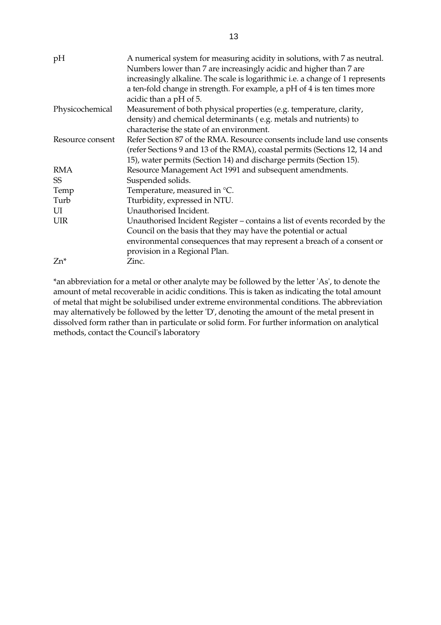| pH               | A numerical system for measuring acidity in solutions, with 7 as neutral.<br>Numbers lower than 7 are increasingly acidic and higher than 7 are |
|------------------|-------------------------------------------------------------------------------------------------------------------------------------------------|
|                  | increasingly alkaline. The scale is logarithmic <i>i.e.</i> a change of 1 represents                                                            |
|                  | a ten-fold change in strength. For example, a pH of 4 is ten times more                                                                         |
|                  | acidic than a pH of 5.                                                                                                                          |
| Physicochemical  | Measurement of both physical properties (e.g. temperature, clarity,                                                                             |
|                  | density) and chemical determinants (e.g. metals and nutrients) to                                                                               |
|                  | characterise the state of an environment.                                                                                                       |
| Resource consent | Refer Section 87 of the RMA. Resource consents include land use consents                                                                        |
|                  | (refer Sections 9 and 13 of the RMA), coastal permits (Sections 12, 14 and                                                                      |
|                  | 15), water permits (Section 14) and discharge permits (Section 15).                                                                             |
| RMA              | Resource Management Act 1991 and subsequent amendments.                                                                                         |
| <b>SS</b>        | Suspended solids.                                                                                                                               |
| Temp             | Temperature, measured in °C.                                                                                                                    |
| Turb             | Tturbidity, expressed in NTU.                                                                                                                   |
| UI               | Unauthorised Incident.                                                                                                                          |
| UIR              | Unauthorised Incident Register – contains a list of events recorded by the                                                                      |
|                  | Council on the basis that they may have the potential or actual                                                                                 |
|                  | environmental consequences that may represent a breach of a consent or                                                                          |
|                  | provision in a Regional Plan.                                                                                                                   |
| $Zn^*$           | Zinc.                                                                                                                                           |

\*an abbreviation for a metal or other analyte may be followed by the letter 'As', to denote the amount of metal recoverable in acidic conditions. This is taken as indicating the total amount of metal that might be solubilised under extreme environmental conditions. The abbreviation may alternatively be followed by the letter 'D', denoting the amount of the metal present in dissolved form rather than in particulate or solid form. For further information on analytical methods, contact the Council's laboratory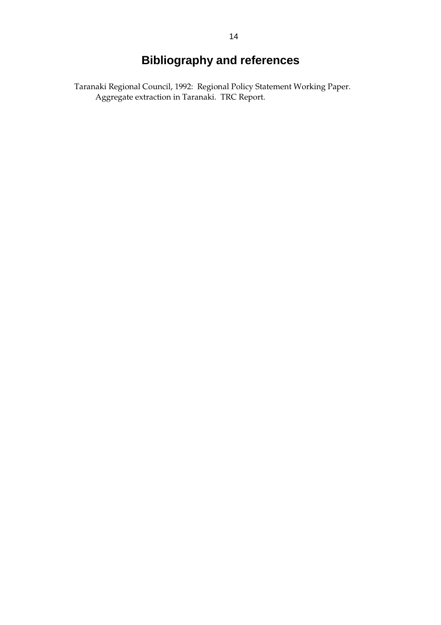# **Bibliography and references**

Taranaki Regional Council, 1992: Regional Policy Statement Working Paper. Aggregate extraction in Taranaki. TRC Report.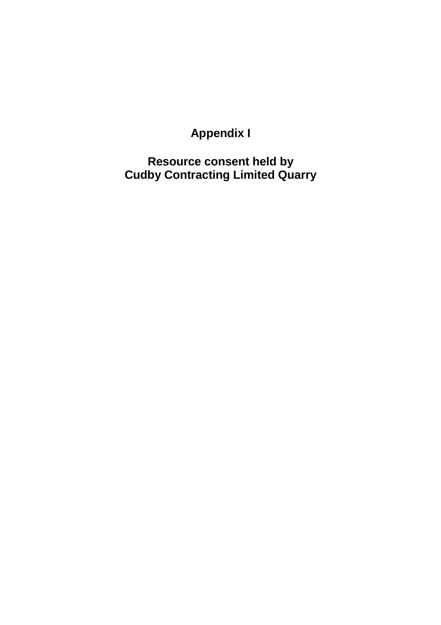# **Appendix I**

**Resource consent held by Cudby Contracting Limited Quarry**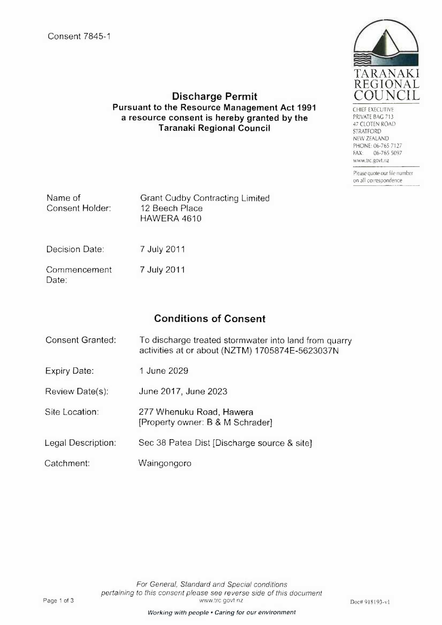

CHIEF EXECUTIVE PRIVATE BAG 713 47 CLOTEN ROAD STRATFORD NEW ZEALAND PHONE: 06-765 7127 06-765 5097 **FAX:** www.trc.govt.nz

Please quote our file number on all correspondence

### **Discharge Permit Pursuant to the Resource Management Act 1991** a resource consent is hereby granted by the **Taranaki Regional Council**

| Name of<br>Consent Holder: | <b>Grant Cudby Contracting Limited</b><br>12 Beech Place<br>HAWERA 4610 |
|----------------------------|-------------------------------------------------------------------------|
| Decision Date:             | 7 July 2011                                                             |
| Commencement<br>Date:      | 7 July 2011                                                             |

# **Conditions of Consent**

- **Consent Granted:** To discharge treated stormwater into land from quarry activities at or about (NZTM) 1705874E-5623037N
- 1 June 2029 **Expiry Date:**
- Review Date(s): June 2017, June 2023
- Site Location: 277 Whenuku Road, Hawera [Property owner: B & M Schrader]
- Legal Description: Sec 38 Patea Dist [Discharge source & site]
- Catchment: Waingongoro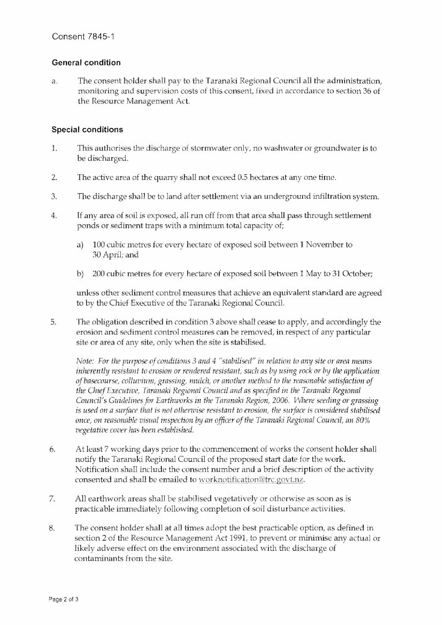#### **General condition**

The consent holder shall pay to the Taranaki Regional Council all the administration, a. monitoring and supervision costs of this consent, fixed in accordance to section 36 of the Resource Management Act.

#### **Special conditions**

- 1. This authorises the discharge of stormwater only, no washwater or groundwater is to be discharged.
- $2.$ The active area of the quarry shall not exceed 0.5 hectares at any one time.
- 3. The discharge shall be to land after settlement via an underground infiltration system.
- If any area of soil is exposed, all run off from that area shall pass through settlement  $\overline{4}$ ponds or sediment traps with a minimum total capacity of;
	- 100 cubic metres for every hectare of exposed soil between 1 November to  $a)$ 30 April; and
	- 200 cubic metres for every hectare of exposed soil between 1 May to 31 October;  $b)$

unless other sediment control measures that achieve an equivalent standard are agreed to by the Chief Executive of the Taranaki Regional Council.

5. The obligation described in condition 3 above shall cease to apply, and accordingly the erosion and sediment control measures can be removed, in respect of any particular site or area of any site, only when the site is stabilised.

Note: For the purpose of conditions 3 and 4 "stabilised" in relation to any site or area means inherently resistant to erosion or rendered resistant, such as by using rock or by the application of basecourse, colluvium, grassing, mulch, or another method to the reasonable satisfaction of the Chief Executive, Taranaki Regional Council and as specified in the Taranaki Regional Council's Guidelines for Earthworks in the Taranaki Region, 2006. Where seeding or grassing is used on a surface that is not otherwise resistant to erosion, the surface is considered stabilised once, on reasonable visual inspection by an officer of the Taranaki Regional Council, an 80% vegetative cover has been established.

- At least 7 working days prior to the commencement of works the consent holder shall 6. notify the Taranaki Regional Council of the proposed start date for the work. Notification shall include the consent number and a brief description of the activity consented and shall be emailed to worknotification@trc.govt.nz.
- 7. All earthwork areas shall be stabilised vegetatively or otherwise as soon as is practicable immediately following completion of soil disturbance activities.
- The consent holder shall at all times adopt the best practicable option, as defined in 8. section 2 of the Resource Management Act 1991, to prevent or minimise any actual or likely adverse effect on the environment associated with the discharge of contaminants from the site.